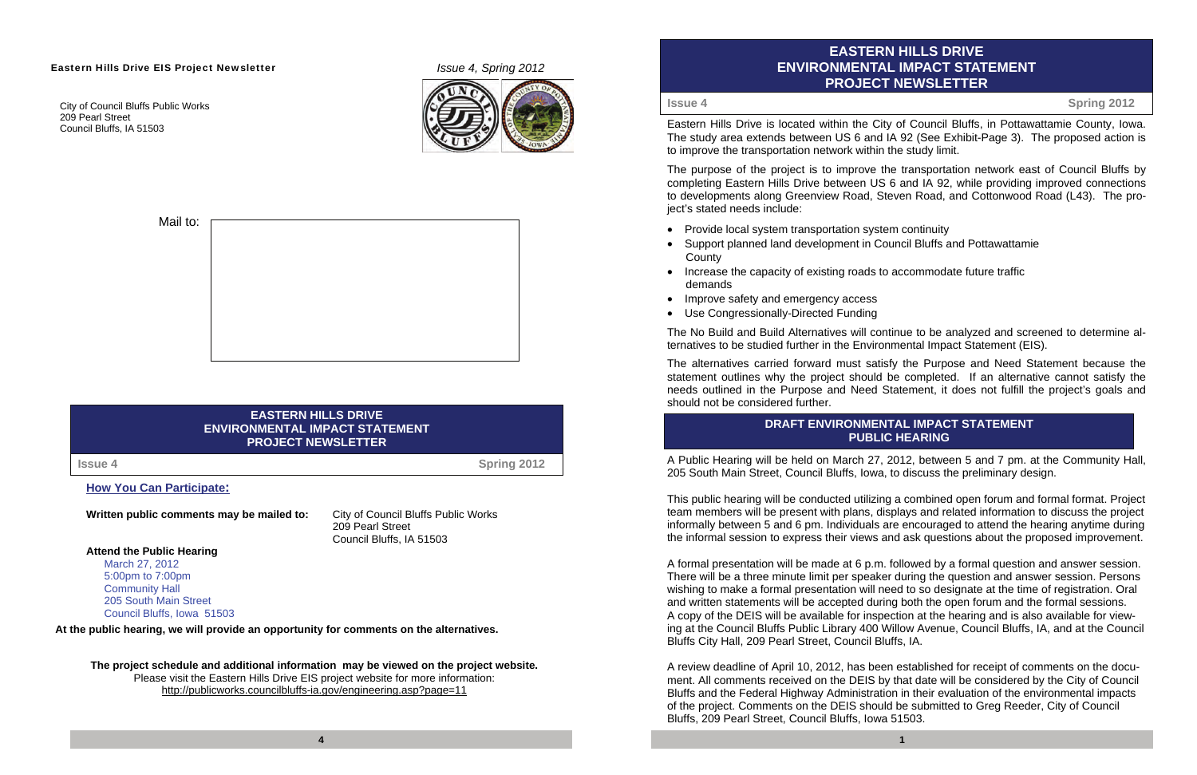# **EASTERN HILLS DRIVE ENVIRONMENTAL IMPACT STATEMENT PROJECT NEWSLETTER**

Eastern Hills Drive is located within the City of Council Bluffs, in Pottawattamie County, Iowa. The study area extends between US 6 and IA 92 (See Exhibit-Page 3). The proposed action is to improve the transportation network within the study limit.

The purpose of the project is to improve the transportation network east of Council Bluffs by completing Eastern Hills Drive between US 6 and IA 92, while providing improved connections to developments along Greenview Road, Steven Road, and Cottonwood Road (L43). The project's stated needs include:

- Provide local system transportation system continuity
- Support planned land development in Council Bluffs and Pottawattamie **County**
- Increase the capacity of existing roads to accommodate future traffic demands
- $\bullet$ Improve safety and emergency access
- Use Congressionally-Directed Funding

The No Build and Build Alternatives will continue to be analyzed and screened to determine alternatives to be studied further in the Environmental Impact Statement (EIS).

The alternatives carried forward must satisfy the Purpose and Need Statement because the statement outlines why the project should be completed. If an alternative cannot satisfy the needs outlined in the Purpose and Need Statement, it does not fulfill the project's goals and should not be considered further.

A Public Hearing will be held on March 27, 2012, between 5 and 7 pm. at the Community Hall, 205 South Main Street, Council Bluffs, Iowa, to discuss the preliminary design.

This public hearing will be conducted utilizing a combined open forum and formal format. Project team members will be present with plans, displays and related information to discuss the project informally between 5 and 6 pm. Individuals are encouraged to attend the hearing anytime during the informal session to express their views and ask questions about the proposed improvement.

**The project schedule and additional information may be viewed on the project website.**  Please visit the Eastern Hills Drive EIS project website for more information: http://publicworks.councilbluffs-ia.gov/engineering.asp?page=11

A formal presentation will be made at 6 p.m. followed by a formal question and answer session. There will be a three minute limit per speaker during the question and answer session. Persons wishing to make a formal presentation will need to so designate at the time of registration. Oral and written statements will be accepted during both the open forum and the formal sessions. A copy of the DEIS will be available for inspection at the hearing and is also available for viewing at the Council Bluffs Public Library 400 Willow Avenue, Council Bluffs, IA, and at the Council Bluffs City Hall, 209 Pearl Street, Council Bluffs, IA.

A review deadline of April 10, 2012, has been established for receipt of comments on the document. All comments received on the DEIS by that date will be considered by the City of Council Bluffs and the Federal Highway Administration in their evaluation of the environmental impacts of the project. Comments on the DEIS should be submitted to Greg Reeder, City of Council Bluffs, 209 Pearl Street, Council Bluffs, Iowa 51503.

#### Eastern Hills Drive EIS Project Newsletter **Internal 2012** *Issue 4, Spring 2012*

City of Council Bluffs Public Works 209 Pearl Street Council Bluffs, IA 51503





#### **EASTERN HILLS DRIVE ENVIRONMENTAL IMPACT STATEMENT PROJECT NEWSLETTER**

#### **How You Can Participate:**

**Written public comments may be mailed to:** City of Council Bluffs Public Works

 209 Pearl Street Council Bluffs, IA 51503

**Attend the Public Hearing** 

March 27, 2012 5:00pm to 7:00pm Community Hall 205 South Main Street Council Bluffs, Iowa 51503

**At the public hearing, we will provide an opportunity for comments on the alternatives.** 

**Issue 4**

**Spring 2012**

**Issue 4**

**Spring 2012** 

#### **DRAFT ENVIRONMENTAL IMPACT STATEMENT PUBLIC HEARING**